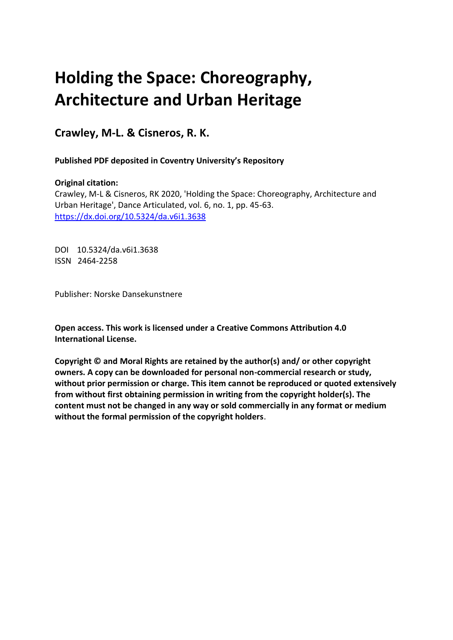# **Holding the Space: Choreography, Architecture and Urban Heritage**

**Crawley, M-L. & Cisneros, R. K.** 

 **Published PDF deposited in Coventry University's Repository**

# **Original citation:**

 Crawley, M-L & Cisneros, RK 2020, 'Holding the Space: Choreography, Architecture and Urban Heritage', Dance Articulated, vol. 6, no. 1, pp. 45-63. <https://dx.doi.org/10.5324/da.v6i1.3638>

 DOI 10.5324/da.v6i1.3638 ISSN 2464-2258

Publisher: Norske Dansekunstnere

 **Open access. This work is licensed under a Creative Commons Attribution 4.0 International License.** 

 **Copyright © and Moral Rights are retained by the author(s) and/ or other copyright owners. A copy can be downloaded for personal non-commercial research or study, without prior permission or charge. This item cannot be reproduced or quoted extensively from without first obtaining permission in writing from the copyright holder(s). The content must not be changed in any way or sold commercially in any format or medium without the formal permission of the copyright holders**.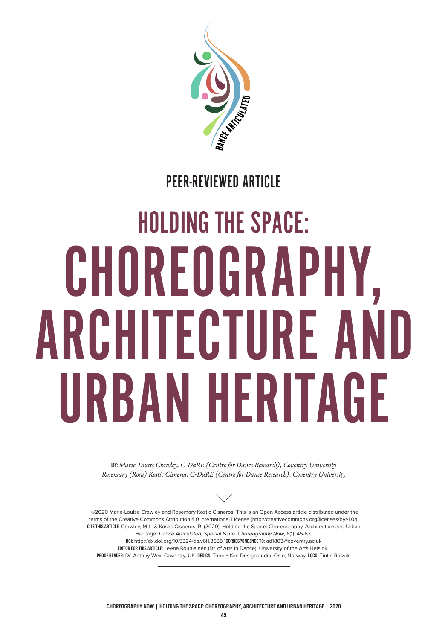

PEER-REVIEWED ARTICLE

# HOLDING THE SPACE: CHOREOGRAPHY, ARCHITECTURE AND URBAN HERITAGE

BY: *Marie-Louise Crawley, C-DaRE (Centre for Dance Research), Coventry University Rosemary (Rosa) Kostic Cisneros, C-DaRE (Centre for Dance Research), Coventry University* 



©2020 Marie-Louise Crawley and Rosemary Kostic Cisneros. This is an Open Access article distributed under the terms of the Creative Commons Attribution 4.0 International License ([http://creativecommons.org/licenses/by/4.0/](http://creativecommons.org/licenses/by/4.0)). CITE THIS ARTICLE: Crawley, M-L. & Kostic Cisneros, R. (2020). Holding the Space: Choreography, Architecture and Urban Heritage. Dance Articulated, Special Issue: Choreography Now, 6(1), 45-63. DOI: <http://dx.doi.org/10.5324/da.v6i1.3638>\*CORRESPONDENCE TO: [ad1803@coventry.ac.uk](mailto:ad1803@coventry.ac.uk)  EDITOR FOR THIS ARTICLE: Leena Rouhiainen (Dr. of Arts in Dance), University of the Arts Helsinki. PROOF-READER: Dr. Antony Weir, Coventry, UK. DESIGN: Trine + Kim Designstudio, Oslo, Norway. LOGO: Tintin Rosvik.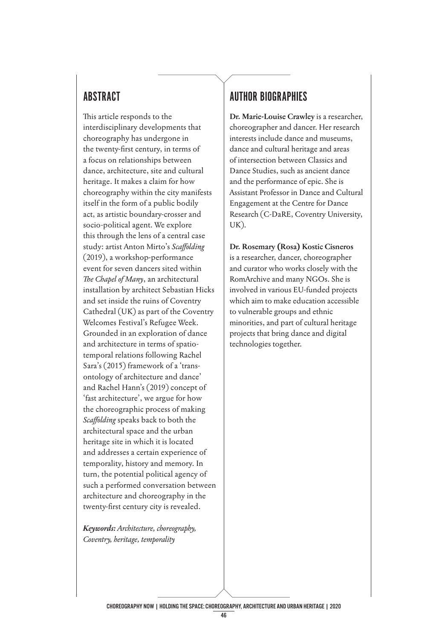# ABSTRACT

This article responds to the interdisciplinary developments that choreography has undergone in the twenty-frst century, in terms of a focus on relationships between dance, architecture, site and cultural heritage. It makes a claim for how choreography within the city manifests itself in the form of a public bodily act, as artistic boundary-crosser and socio-political agent. We explore this through the lens of a central case study: artist Anton Mirto's *Scafolding*  (2019), a workshop-performance event for seven dancers sited within The Chapel of Many, an architectural installation by architect Sebastian Hicks and set inside the ruins of Coventry Cathedral (UK) as part of the Coventry Welcomes Festival's Refugee Week. Grounded in an exploration of dance and architecture in terms of spatiotemporal relations following Rachel Sara's (2015) framework of a 'transontology of architecture and dance' and Rachel Hann's (2019) concept of 'fast architecture', we argue for how the choreographic process of making *Scafolding* speaks back to both the architectural space and the urban heritage site in which it is located and addresses a certain experience of temporality, history and memory. In turn, the potential political agency of such a performed conversation between architecture and choreography in the twenty-frst century city is revealed.

*Keywords: Architecture, choreography, Coventry, heritage, temporality* 

# AUTHOR BIOGRAPHIES

**Dr. Marie-Louise Crawley** is a researcher, choreographer and dancer. Her research interests include dance and museums, dance and cultural heritage and areas of intersection between Classics and Dance Studies, such as ancient dance and the performance of epic. She is Assistant Professor in Dance and Cultural Engagement at the Centre for Dance Research (C-DaRE, Coventry University, UK).

**Dr. Rosemary (Rosa) Kostic Cisneros**  is a researcher, dancer, choreographer and curator who works closely with the RomArchive and many NGOs. She is involved in various EU-funded projects which aim to make education accessible to vulnerable groups and ethnic minorities, and part of cultural heritage projects that bring dance and digital technologies together.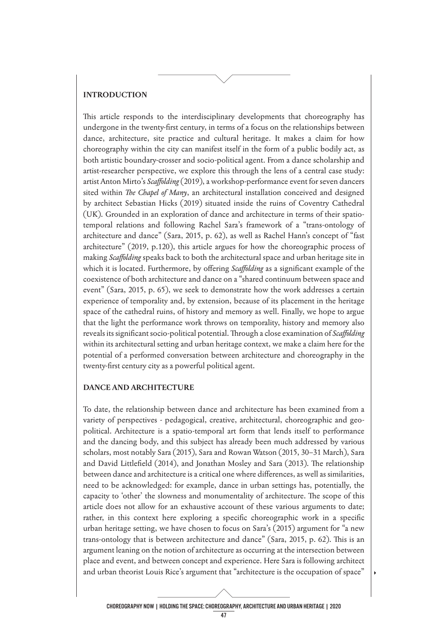#### **INTRODUCTION**

This article responds to the interdisciplinary developments that choreography has undergone in the twenty-frst century, in terms of a focus on the relationships between dance, architecture, site practice and cultural heritage. It makes a claim for how choreography within the city can manifest itself in the form of a public bodily act, as both artistic boundary-crosser and socio-political agent. From a dance scholarship and artist-researcher perspective, we explore this through the lens of a central case study: artist Anton Mirto's *Scafolding* (2019), a workshop-performance event for seven dancers sited within *The Chapel of Many*, an architectural installation conceived and designed by architect Sebastian Hicks (2019) situated inside the ruins of Coventry Cathedral (UK). Grounded in an exploration of dance and architecture in terms of their spatiotemporal relations and following Rachel Sara's framework of a "trans-ontology of architecture and dance" (Sara, 2015, p. 62), as well as Rachel Hann's concept of "fast architecture" (2019, p.120), this article argues for how the choreographic process of making *Scafolding* speaks back to both the architectural space and urban heritage site in which it is located. Furthermore, by offering *Scaffolding* as a significant example of the coexistence of both architecture and dance on a "shared continuum between space and event" (Sara, 2015, p. 65), we seek to demonstrate how the work addresses a certain experience of temporality and, by extension, because of its placement in the heritage space of the cathedral ruins, of history and memory as well. Finally, we hope to argue that the light the performance work throws on temporality, history and memory also reveals its significant socio-political potential. Through a close examination of *Scaffolding* within its architectural setting and urban heritage context, we make a claim here for the potential of a performed conversation between architecture and choreography in the twenty-frst century city as a powerful political agent.

#### **DANCE AND ARCHITECTURE**

To date, the relationship between dance and architecture has been examined from a variety of perspectives - pedagogical, creative, architectural, choreographic and geopolitical. Architecture is a spatio-temporal art form that lends itself to performance and the dancing body, and this subject has already been much addressed by various scholars, most notably Sara (2015), Sara and Rowan Watson (2015, 30–31 March), Sara and David Littlefield (2014), and Jonathan Mosley and Sara (2013). The relationship between dance and architecture is a critical one where diferences, as well as similarities, need to be acknowledged: for example, dance in urban settings has, potentially, the capacity to 'other' the slowness and monumentality of architecture. The scope of this article does not allow for an exhaustive account of these various arguments to date; rather, in this context here exploring a specifc choreographic work in a specifc urban heritage setting, we have chosen to focus on Sara's (2015) argument for "a new trans-ontology that is between architecture and dance" (Sara, 2015, p. 62). Tis is an argument leaning on the notion of architecture as occurring at the intersection between place and event, and between concept and experience. Here Sara is following architect and urban theorist Louis Rice's argument that "architecture is the occupation of space"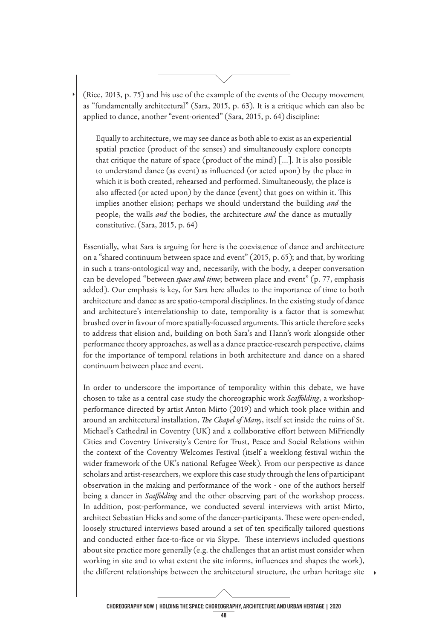(Rice, 2013, p. 75) and his use of the example of the events of the Occupy movement as "fundamentally architectural" (Sara, 2015, p. 63). It is a critique which can also be applied to dance, another "event-oriented" (Sara, 2015, p. 64) discipline:

Equally to architecture, we may see dance as both able to exist as an experiential spatial practice (product of the senses) and simultaneously explore concepts that critique the nature of space (product of the mind)  $[\dots]$ . It is also possible to understand dance (as event) as infuenced (or acted upon) by the place in which it is both created, rehearsed and performed. Simultaneously, the place is also affected (or acted upon) by the dance (event) that goes on within it. This implies another elision; perhaps we should understand the building *and* the people, the walls *and* the bodies, the architecture *and* the dance as mutually constitutive. (Sara, 2015, p. 64)

Essentially, what Sara is arguing for here is the coexistence of dance and architecture on a "shared continuum between space and event" (2015, p. 65); and that, by working in such a trans-ontological way and, necessarily, with the body, a deeper conversation can be developed "between *space and time*; between place and event" (p. 77, emphasis added). Our emphasis is key, for Sara here alludes to the importance of time to both architecture and dance as are spatio-temporal disciplines. In the existing study of dance and architecture's interrelationship to date, temporality is a factor that is somewhat brushed over in favour of more spatially-focussed arguments. This article therefore seeks to address that elision and, building on both Sara's and Hann's work alongside other performance theory approaches, as well as a dance practice-research perspective, claims for the importance of temporal relations in both architecture and dance on a shared continuum between place and event.

In order to underscore the importance of temporality within this debate, we have chosen to take as a central case study the choreographic work *Scafolding*, a workshopperformance directed by artist Anton Mirto (2019) and which took place within and around an architectural installation, *The Chapel of Many*, itself set inside the ruins of St. Michael's Cathedral in Coventry (UK) and a collaborative efort between MiFriendly Cities and Coventry University's Centre for Trust, Peace and Social Relations within the context of the Coventry Welcomes Festival (itself a weeklong festival within the wider framework of the UK's national Refugee Week). From our perspective as dance scholars and artist-researchers, we explore this case study through the lens of participant observation in the making and performance of the work - one of the authors herself being a dancer in *Scafolding* and the other observing part of the workshop process. In addition, post-performance, we conducted several interviews with artist Mirto, architect Sebastian Hicks and some of the dancer-participants. These were open-ended, loosely structured interviews based around a set of ten specifcally tailored questions and conducted either face-to-face or via Skype. These interviews included questions about site practice more generally (e.g. the challenges that an artist must consider when working in site and to what extent the site informs, infuences and shapes the work), the diferent relationships between the architectural structure, the urban heritage site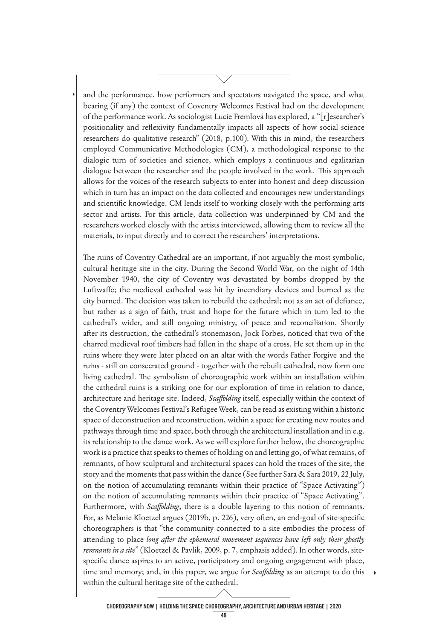and the performance, how performers and spectators navigated the space, and what bearing (if any) the context of Coventry Welcomes Festival had on the development of the performance work. As sociologist Lucie Fremlová has explored, a "[r]esearcher's positionality and refexivity fundamentally impacts all aspects of how social science researchers do qualitative research" (2018, p.100). With this in mind, the researchers employed Communicative Methodologies (CM), a methodological response to the dialogic turn of societies and science, which employs a continuous and egalitarian dialogue between the researcher and the people involved in the work. This approach allows for the voices of the research subjects to enter into honest and deep discussion which in turn has an impact on the data collected and encourages new understandings and scientifc knowledge. CM lends itself to working closely with the performing arts sector and artists. For this article, data collection was underpinned by CM and the researchers worked closely with the artists interviewed, allowing them to review all the materials, to input directly and to correct the researchers' interpretations.

The ruins of Coventry Cathedral are an important, if not arguably the most symbolic, cultural heritage site in the city. During the Second World War, on the night of 14th November 1940, the city of Coventry was devastated by bombs dropped by the Luftwafe; the medieval cathedral was hit by incendiary devices and burned as the city burned. The decision was taken to rebuild the cathedral; not as an act of defiance, but rather as a sign of faith, trust and hope for the future which in turn led to the cathedral's wider, and still ongoing ministry, of peace and reconciliation. Shortly after its destruction, the cathedral's stonemason, Jock Forbes, noticed that two of the charred medieval roof timbers had fallen in the shape of a cross. He set them up in the ruins where they were later placed on an altar with the words Father Forgive and the ruins - still on consecrated ground - together with the rebuilt cathedral, now form one living cathedral. The symbolism of choreographic work within an installation within the cathedral ruins is a striking one for our exploration of time in relation to dance, architecture and heritage site. Indeed, *Scafolding* itself, especially within the context of the Coventry Welcomes Festival's Refugee Week, can be read as existing within a historic space of deconstruction and reconstruction, within a space for creating new routes and pathways through time and space, both through the architectural installation and in e.g. its relationship to the dance work. As we will explore further below, the choreographic work is a practice that speaks to themes of holding on and letting go, of what remains, of remnants, of how sculptural and architectural spaces can hold the traces of the site, the story and the moments that pass within the dance (See further Sara & Sara 2019, 22 July, on the notion of accumulating remnants within their practice of "Space Activating") on the notion of accumulating remnants within their practice of "Space Activating". Furthermore, with *Scafolding*, there is a double layering to this notion of remnants. For, as Melanie Kloetzel argues (2019b, p. 226), very often, an end-goal of site-specifc choreographers is that "the community connected to a site embodies the process of attending to place *long after the ephemeral movement sequences have left only their ghostly remnants in a site*" (Kloetzel & Pavlik, 2009, p. 7, emphasis added). In other words, sitespecifc dance aspires to an active, participatory and ongoing engagement with place, time and memory; and, in this paper, we argue for *Scafolding* as an attempt to do this within the cultural heritage site of the cathedral.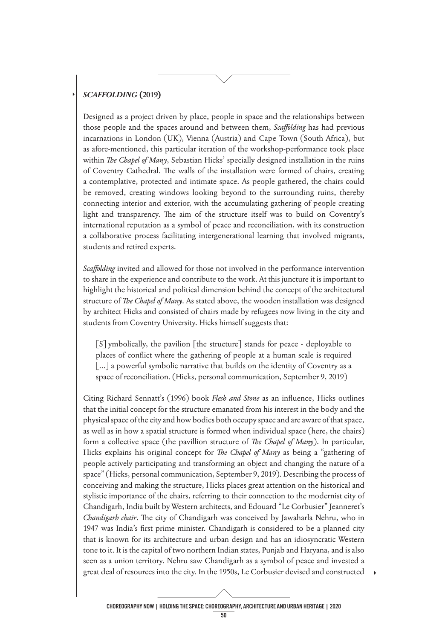#### *SCAFFOLDING* **(2019)**

Designed as a project driven by place, people in space and the relationships between those people and the spaces around and between them, *Scafolding* has had previous incarnations in London (UK), Vienna (Austria) and Cape Town (South Africa), but as afore-mentioned, this particular iteration of the workshop-performance took place within *The Chapel of Many*, Sebastian Hicks' specially designed installation in the ruins of Coventry Cathedral. The walls of the installation were formed of chairs, creating a contemplative, protected and intimate space. As people gathered, the chairs could be removed, creating windows looking beyond to the surrounding ruins, thereby connecting interior and exterior, with the accumulating gathering of people creating light and transparency. The aim of the structure itself was to build on Coventry's international reputation as a symbol of peace and reconciliation, with its construction a collaborative process facilitating intergenerational learning that involved migrants, students and retired experts.

*Scafolding* invited and allowed for those not involved in the performance intervention to share in the experience and contribute to the work. At this juncture it is important to highlight the historical and political dimension behind the concept of the architectural structure of *Te Chapel of Many*. As stated above, the wooden installation was designed by architect Hicks and consisted of chairs made by refugees now living in the city and students from Coventry University. Hicks himself suggests that:

[S]ymbolically, the pavilion [the structure] stands for peace - deployable to places of confict where the gathering of people at a human scale is required [...] a powerful symbolic narrative that builds on the identity of Coventry as a space of reconciliation. (Hicks, personal communication, September 9, 2019)

Citing Richard Sennatt's (1996) book *Flesh and Stone* as an infuence, Hicks outlines that the initial concept for the structure emanated from his interest in the body and the physical space of the city and how bodies both occupy space and are aware of that space, as well as in how a spatial structure is formed when individual space (here, the chairs) form a collective space (the pavillion structure of *The Chapel of Many*). In particular, Hicks explains his original concept for *The Chapel of Many* as being a "gathering of people actively participating and transforming an object and changing the nature of a space" (Hicks, personal communication, September 9, 2019). Describing the process of conceiving and making the structure, Hicks places great attention on the historical and stylistic importance of the chairs, referring to their connection to the modernist city of Chandigarh, India built by Western architects, and Edouard "Le Corbusier" Jeanneret's *Chandigarh chair*. The city of Chandigarh was conceived by Jawaharla Nehru, who in 1947 was India's frst prime minister. Chandigarh is considered to be a planned city that is known for its architecture and urban design and has an idiosyncratic Western tone to it. It is the capital of two northern Indian states, Punjab and Haryana, and is also seen as a union territory. Nehru saw Chandigarh as a symbol of peace and invested a great deal of resources into the city. In the 1950s, Le Corbusier devised and constructed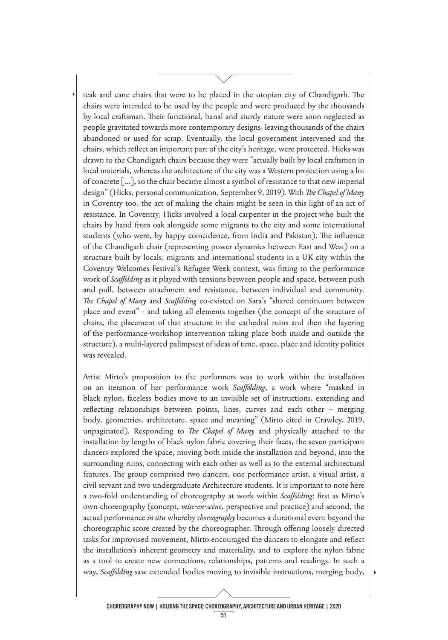teak and cane chairs that were to be placed in the utopian city of Chandigarh. The chairs were intended to be used by the people and were produced by the thousands by local craftsman. Their functional, banal and sturdy nature were soon neglected as people gravitated towards more contemporary designs, leaving thousands of the chairs abandoned or used for scrap. Eventually, the local government intervened and the chairs, which refect an important part of the city's heritage, were protected. Hicks was drawn to the Chandigarh chairs because they were "actually built by local craftsmen in local materials, whereas the architecture of the city was a Western projection using a lot of concrete [...], so the chair became almost a symbol of resistance to that new imperial design" (Hicks, personal communication, September 9, 2019). With *The Chapel of Many* in Coventry too, the act of making the chairs might be seen in this light of an act of resistance. In Coventry, Hicks involved a local carpenter in the project who built the chairs by hand from oak alongside some migrants to the city and some international students (who were, by happy coincidence, from India and Pakistan). The influence of the Chandigarh chair (representing power dynamics between East and West) on a structure built by locals, migrants and international students in a UK city within the Coventry Welcomes Festival's Refugee Week context, was ftting to the performance work of *Scafolding* as it played with tensions between people and space, between push and pull, between attachment and resistance, between individual and community. *The Chapel of Many* and *Scaffolding* co-existed on Sara's "shared continuum between place and event" - and taking all elements together (the concept of the structure of chairs, the placement of that structure in the cathedral ruins and then the layering of the performance-workshop intervention taking place both inside and outside the structure), a multi-layered palimpsest of ideas of time, space, place and identity politics was revealed.

Artist Mirto's proposition to the performers was to work within the installation on an iteration of her performance work *Scafolding*, a work where "masked in black nylon, faceless bodies move to an invisible set of instructions, extending and refecting relationships between points, lines, curves and each other – merging body, geometrics, architecture, space and meaning" (Mirto cited in Crawley, 2019, unpaginated). Responding to *The Chapel of Many* and physically attached to the installation by lengths of black nylon fabric covering their faces, the seven participant dancers explored the space, moving both inside the installation and beyond, into the surrounding ruins, connecting with each other as well as to the external architectural features. The group comprised two dancers, one performance artist, a visual artist, a civil servant and two undergraduate Architecture students. It is important to note here a two-fold understanding of choreography at work within *Scafolding*: frst as Mirto's own choreography (concept, *mise-en-scène*, perspective and practice) and second, the actual performance *in situ* whereby *choreography* becomes a durational event beyond the choreographic score created by the choreographer. Through offering loosely directed tasks for improvised movement, Mirto encouraged the dancers to elongate and refect the installation's inherent geometry and materiality, and to explore the nylon fabric as a tool to create new connections, relationships, patterns and readings. In such a way, *Scafolding* saw extended bodies moving to invisible instructions, merging body,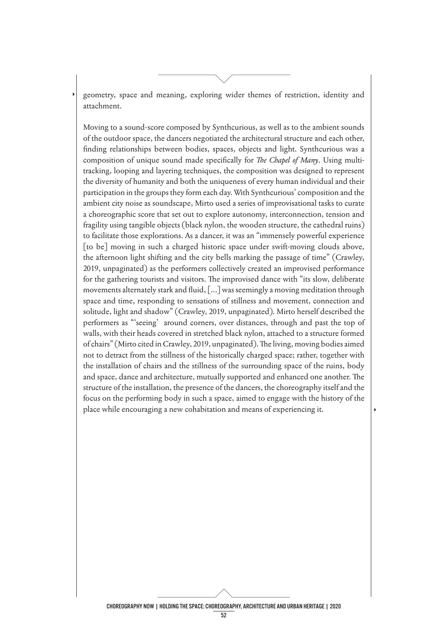geometry, space and meaning, exploring wider themes of restriction, identity and attachment.

Moving to a sound-score composed by Synthcurious, as well as to the ambient sounds of the outdoor space, the dancers negotiated the architectural structure and each other, fnding relationships between bodies, spaces, objects and light. Synthcurious was a composition of unique sound made specifically for *The Chapel of Many*. Using multitracking, looping and layering techniques, the composition was designed to represent the diversity of humanity and both the uniqueness of every human individual and their participation in the groups they form each day. With Synthcurious' composition and the ambient city noise as soundscape, Mirto used a series of improvisational tasks to curate a choreographic score that set out to explore autonomy, interconnection, tension and fragility using tangible objects (black nylon, the wooden structure, the cathedral ruins) to facilitate those explorations. As a dancer, it was an "immensely powerful experience [to be] moving in such a charged historic space under swift-moving clouds above, the afternoon light shifting and the city bells marking the passage of time" (Crawley, 2019, unpaginated) as the performers collectively created an improvised performance for the gathering tourists and visitors. The improvised dance with "its slow, deliberate movements alternately stark and fuid, [...] was seemingly a moving meditation through space and time, responding to sensations of stillness and movement, connection and solitude, light and shadow" (Crawley, 2019, unpaginated). Mirto herself described the performers as "'seeing' around corners, over distances, through and past the top of walls, with their heads covered in stretched black nylon, attached to a structure formed of chairs" (Mirto cited in Crawley, 2019, unpaginated). The living, moving bodies aimed not to detract from the stillness of the historically charged space; rather, together with the installation of chairs and the stillness of the surrounding space of the ruins, body and space, dance and architecture, mutually supported and enhanced one another. The structure of the installation, the presence of the dancers, the choreography itself and the focus on the performing body in such a space, aimed to engage with the history of the place while encouraging a new cohabitation and means of experiencing it.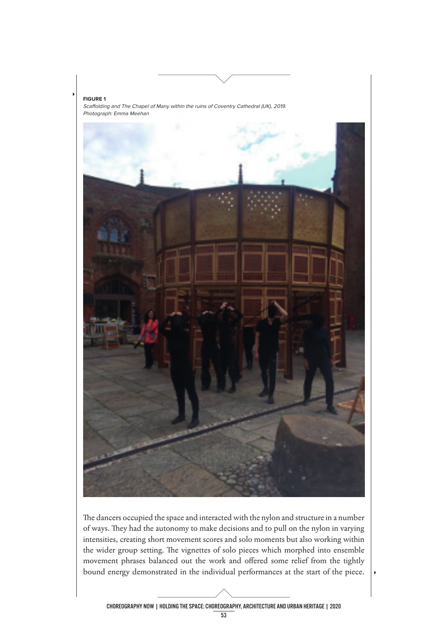

The dancers occupied the space and interacted with the nylon and structure in a number of ways. They had the autonomy to make decisions and to pull on the nylon in varying intensities, creating short movement scores and solo moments but also working within the wider group setting. The vignettes of solo pieces which morphed into ensemble movement phrases balanced out the work and ofered some relief from the tightly bound energy demonstrated in the individual performances at the start of the piece.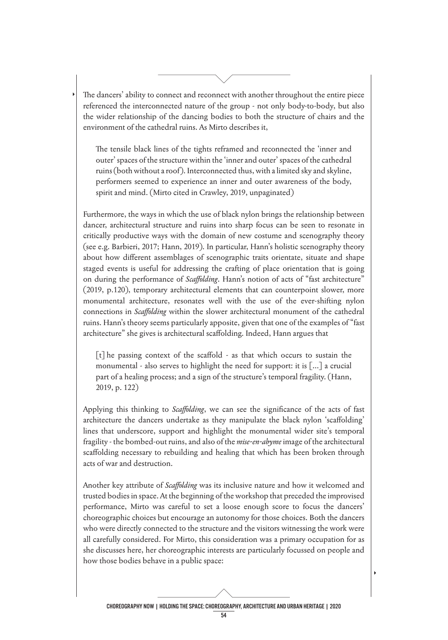The dancers' ability to connect and reconnect with another throughout the entire piece referenced the interconnected nature of the group - not only body-to-body, but also the wider relationship of the dancing bodies to both the structure of chairs and the environment of the cathedral ruins. As Mirto describes it,

The tensile black lines of the tights reframed and reconnected the 'inner and outer' spaces of the structure within the 'inner and outer' spaces of the cathedral ruins (both without a roof). Interconnected thus, with a limited sky and skyline, performers seemed to experience an inner and outer awareness of the body, spirit and mind. (Mirto cited in Crawley, 2019, unpaginated)

Furthermore, the ways in which the use of black nylon brings the relationship between dancer, architectural structure and ruins into sharp focus can be seen to resonate in critically productive ways with the domain of new costume and scenography theory (see e.g. Barbieri, 2017; Hann, 2019). In particular, Hann's holistic scenography theory about how diferent assemblages of scenographic traits orientate, situate and shape staged events is useful for addressing the crafting of place orientation that is going on during the performance of *Scafolding*. Hann's notion of acts of "fast architecture" (2019, p.120), temporary architectural elements that can counterpoint slower, more monumental architecture, resonates well with the use of the ever-shifting nylon connections in *Scafolding* within the slower architectural monument of the cathedral ruins. Hann's theory seems particularly apposite, given that one of the examples of "fast architecture" she gives is architectural scafolding. Indeed, Hann argues that

[t] he passing context of the scaffold - as that which occurs to sustain the monumental - also serves to highlight the need for support: it is [...] a crucial part of a healing process; and a sign of the structure's temporal fragility. (Hann, 2019, p. 122)

Applying this thinking to *Scafolding*, we can see the signifcance of the acts of fast architecture the dancers undertake as they manipulate the black nylon 'scafolding' lines that underscore, support and highlight the monumental wider site's temporal fragility - the bombed-out ruins, and also of the *mise-en-abyme* image of the architectural scafolding necessary to rebuilding and healing that which has been broken through acts of war and destruction.

Another key attribute of *Scafolding* was its inclusive nature and how it welcomed and trusted bodies in space. At the beginning of the workshop that preceded the improvised performance, Mirto was careful to set a loose enough score to focus the dancers' choreographic choices but encourage an autonomy for those choices. Both the dancers who were directly connected to the structure and the visitors witnessing the work were all carefully considered. For Mirto, this consideration was a primary occupation for as she discusses here, her choreographic interests are particularly focussed on people and how those bodies behave in a public space: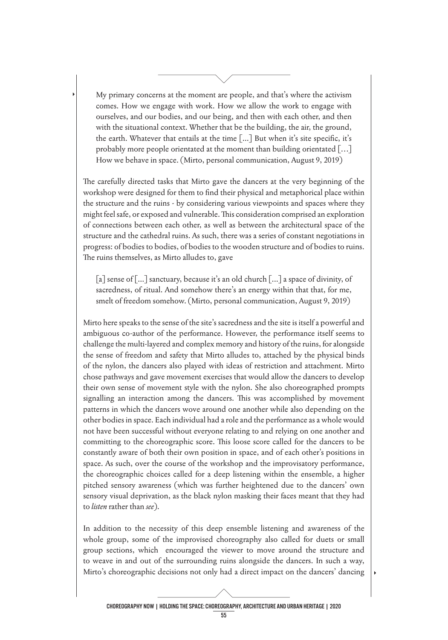My primary concerns at the moment are people, and that's where the activism comes. How we engage with work. How we allow the work to engage with ourselves, and our bodies, and our being, and then with each other, and then with the situational context. Whether that be the building, the air, the ground, the earth. Whatever that entails at the time  $\lceil ... \rceil$  But when it's site specific, it's probably more people orientated at the moment than building orientated […] How we behave in space. (Mirto, personal communication, August 9, 2019)

The carefully directed tasks that Mirto gave the dancers at the very beginning of the workshop were designed for them to fnd their physical and metaphorical place within the structure and the ruins - by considering various viewpoints and spaces where they might feel safe, or exposed and vulnerable. This consideration comprised an exploration of connections between each other, as well as between the architectural space of the structure and the cathedral ruins. As such, there was a series of constant negotiations in progress: of bodies to bodies, of bodies to the wooden structure and of bodies to ruins. The ruins themselves, as Mirto alludes to, gave

[a] sense of [...] sanctuary, because it's an old church [...] a space of divinity, of sacredness, of ritual. And somehow there's an energy within that that, for me, smelt of freedom somehow. (Mirto, personal communication, August 9, 2019)

Mirto here speaks to the sense of the site's sacredness and the site is itself a powerful and ambiguous co-author of the performance. However, the performance itself seems to challenge the multi-layered and complex memory and history of the ruins, for alongside the sense of freedom and safety that Mirto alludes to, attached by the physical binds of the nylon, the dancers also played with ideas of restriction and attachment. Mirto chose pathways and gave movement exercises that would allow the dancers to develop their own sense of movement style with the nylon. She also choreographed prompts signalling an interaction among the dancers. This was accomplished by movement patterns in which the dancers wove around one another while also depending on the other bodies in space. Each individual had a role and the performance as a whole would not have been successful without everyone relating to and relying on one another and committing to the choreographic score. Tis loose score called for the dancers to be constantly aware of both their own position in space, and of each other's positions in space. As such, over the course of the workshop and the improvisatory performance, the choreographic choices called for a deep listening within the ensemble, a higher pitched sensory awareness (which was further heightened due to the dancers' own sensory visual deprivation, as the black nylon masking their faces meant that they had to *listen* rather than *see*).

In addition to the necessity of this deep ensemble listening and awareness of the whole group, some of the improvised choreography also called for duets or small group sections, which encouraged the viewer to move around the structure and to weave in and out of the surrounding ruins alongside the dancers. In such a way, Mirto's choreographic decisions not only had a direct impact on the dancers' dancing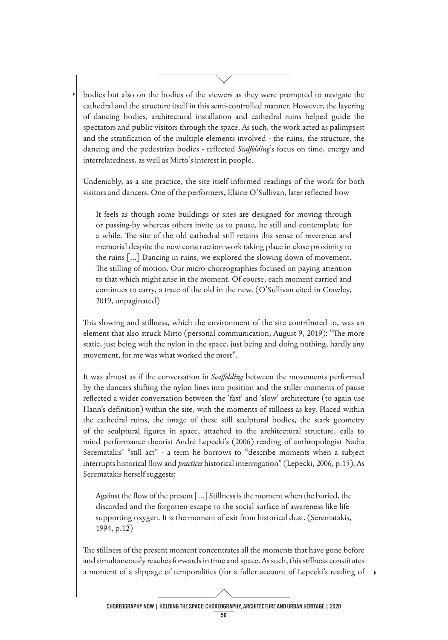bodies but also on the bodies of the viewers as they were prompted to navigate the cathedral and the structure itself in this semi-controlled manner. However, the layering of dancing bodies, architectural installation and cathedral ruins helped guide the spectators and public visitors through the space. As such, the work acted as palimpsest and the stratifcation of the multiple elements involved - the ruins, the structure, the dancing and the pedestrian bodies - refected *Scafolding*'s focus on time, energy and interrelatedness, as well as Mirto's interest in people.

Undeniably, as a site practice, the site itself informed readings of the work for both visitors and dancers. One of the performers, Elaine O'Sullivan, later refected how

It feels as though some buildings or sites are designed for moving through or passing-by whereas others invite us to pause, be still and contemplate for a while. The site of the old cathedral still retains this sense of reverence and memorial despite the new construction work taking place in close proximity to the ruins [...] Dancing in ruins, we explored the slowing down of movement. The stilling of motion. Our micro-choreographies focused on paying attention to that which might arise in the moment. Of course, each moment carried and continues to carry, a trace of the old in the new. (O'Sullivan cited in Crawley, 2019, unpaginated)

This slowing and stillness, which the environment of the site contributed to, was an element that also struck Mirto (personal communication, August 9, 2019): "The more static, just being with the nylon in the space, just being and doing nothing, hardly any movement, for me was what worked the most".

It was almost as if the conversation in *Scafolding* between the movements performed by the dancers shifting the nylon lines into position and the stiller moments of pause refected a wider conversation between the 'fast' and 'slow' architecture (to again use Hann's defnition) within the site, with the moments of stillness as key. Placed within the cathedral ruins, the image of these still sculptural bodies, the stark geometry of the sculptural fgures in space, attached to the architectural structure, calls to mind performance theorist André Lepecki's (2006) reading of anthropologist Nadia Serematakis' "still act" - a term he borrows to "describe moments when a subject interrupts historical fow and *practices* historical interrogation" (Lepecki, 2006, p.15). As Serematakis herself suggests:

Against the flow of the present [...] Stillness is the moment when the buried, the discarded and the forgotten escape to the social surface of awareness like lifesupporting oxygen. It is the moment of exit from historical dust. (Serematakis, 1994, p.12)

The stillness of the present moment concentrates all the moments that have gone before and simultaneously reaches forwards in time and space. As such, this stillness constitutes a moment of a slippage of temporalities (for a fuller account of Lepecki's reading of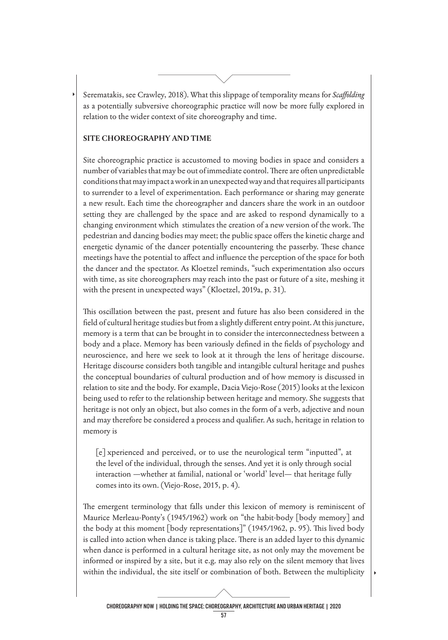Serematakis, see Crawley, 2018). Wat this slippage of temporality means for *Scafolding*  as a potentially subversive choreographic practice will now be more fully explored in relation to the wider context of site choreography and time.

#### **SITE CHOREOGRAPHY AND TIME**

Site choreographic practice is accustomed to moving bodies in space and considers a number of variables that may be out of immediate control. There are often unpredictable conditions that may impact a work in an unexpected way and that requires all participants to surrender to a level of experimentation. Each performance or sharing may generate a new result. Each time the choreographer and dancers share the work in an outdoor setting they are challenged by the space and are asked to respond dynamically to a changing environment which stimulates the creation of a new version of the work. The pedestrian and dancing bodies may meet; the public space offers the kinetic charge and energetic dynamic of the dancer potentially encountering the passerby. These chance meetings have the potential to afect and infuence the perception of the space for both the dancer and the spectator. As Kloetzel reminds, "such experimentation also occurs with time, as site choreographers may reach into the past or future of a site, meshing it with the present in unexpected ways" (Kloetzel, 2019a, p. 31).

This oscillation between the past, present and future has also been considered in the feld of cultural heritage studies but from a slightly diferent entry point. At this juncture, memory is a term that can be brought in to consider the interconnectedness between a body and a place. Memory has been variously defned in the felds of psychology and neuroscience, and here we seek to look at it through the lens of heritage discourse. Heritage discourse considers both tangible and intangible cultural heritage and pushes the conceptual boundaries of cultural production and of how memory is discussed in relation to site and the body. For example, Dacia Viejo-Rose (2015) looks at the lexicon being used to refer to the relationship between heritage and memory. She suggests that heritage is not only an object, but also comes in the form of a verb, adjective and noun and may therefore be considered a process and qualifer. As such, heritage in relation to memory is

[e]xperienced and perceived, or to use the neurological term "inputted", at the level of the individual, through the senses. And yet it is only through social interaction —whether at familial, national or 'world' level— that heritage fully comes into its own. (Viejo-Rose, 2015, p. 4).

The emergent terminology that falls under this lexicon of memory is reminiscent of Maurice Merleau-Ponty's (1945/1962) work on "the habit-body [body memory] and the body at this moment [body representations]" (1945/1962, p. 95). This lived body is called into action when dance is taking place. There is an added layer to this dynamic when dance is performed in a cultural heritage site, as not only may the movement be informed or inspired by a site, but it e.g. may also rely on the silent memory that lives within the individual, the site itself or combination of both. Between the multiplicity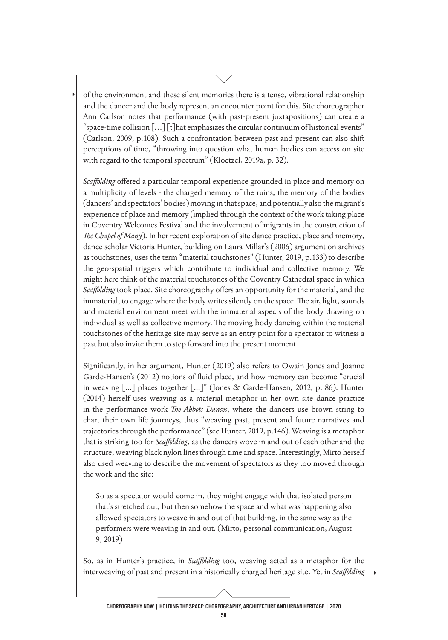of the environment and these silent memories there is a tense, vibrational relationship and the dancer and the body represent an encounter point for this. Site choreographer Ann Carlson notes that performance (with past-present juxtapositions) can create a "space-time collision […] [t]hat emphasizes the circular continuum of historical events" (Carlson, 2009, p.108). Such a confrontation between past and present can also shift perceptions of time, "throwing into question what human bodies can access on site with regard to the temporal spectrum" (Kloetzel, 2019a, p. 32).

*Scaffolding* offered a particular temporal experience grounded in place and memory on a multiplicity of levels - the charged memory of the ruins, the memory of the bodies (dancers' and spectators' bodies) moving in that space, and potentially also the migrant's experience of place and memory (implied through the context of the work taking place in Coventry Welcomes Festival and the involvement of migrants in the construction of *The Chapel of Many*). In her recent exploration of site dance practice, place and memory, dance scholar Victoria Hunter, building on Laura Millar's (2006) argument on archives as touchstones, uses the term "material touchstones" (Hunter, 2019, p.133) to describe the geo-spatial triggers which contribute to individual and collective memory. We might here think of the material touchstones of the Coventry Cathedral space in which *Scaffolding* took place. Site choreography offers an opportunity for the material, and the immaterial, to engage where the body writes silently on the space. The air, light, sounds and material environment meet with the immaterial aspects of the body drawing on individual as well as collective memory. The moving body dancing within the material touchstones of the heritage site may serve as an entry point for a spectator to witness a past but also invite them to step forward into the present moment.

Signifcantly, in her argument, Hunter (2019) also refers to Owain Jones and Joanne Garde-Hansen's (2012) notions of fuid place, and how memory can become "crucial in weaving [...] places together [...]" (Jones & Garde-Hansen, 2012, p. 86). Hunter (2014) herself uses weaving as a material metaphor in her own site dance practice in the performance work *The Abbots Dances*, where the dancers use brown string to chart their own life journeys, thus "weaving past, present and future narratives and trajectories through the performance" (see Hunter, 2019, p.146). Weaving is a metaphor that is striking too for *Scafolding*, as the dancers wove in and out of each other and the structure, weaving black nylon lines through time and space. Interestingly, Mirto herself also used weaving to describe the movement of spectators as they too moved through the work and the site:

So as a spectator would come in, they might engage with that isolated person that's stretched out, but then somehow the space and what was happening also allowed spectators to weave in and out of that building, in the same way as the performers were weaving in and out. (Mirto, personal communication, August 9, 2019)

So, as in Hunter's practice, in *Scafolding* too, weaving acted as a metaphor for the interweaving of past and present in a historically charged heritage site. Yet in *Scafolding*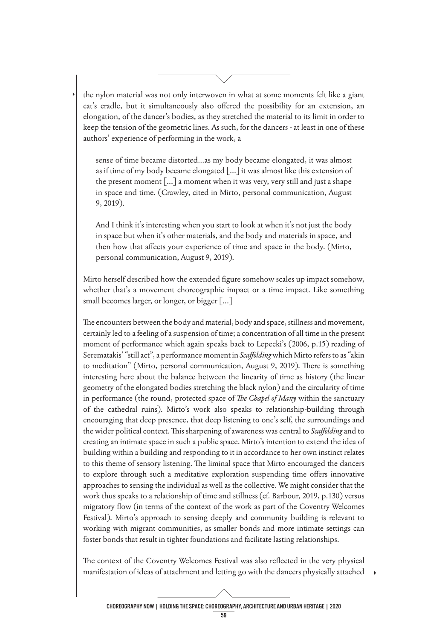the nylon material was not only interwoven in what at some moments felt like a giant cat's cradle, but it simultaneously also offered the possibility for an extension, an elongation, of the dancer's bodies, as they stretched the material to its limit in order to keep the tension of the geometric lines. As such, for the dancers - at least in one of these authors' experience of performing in the work, a

sense of time became distorted...as my body became elongated, it was almost as if time of my body became elongated [...] it was almost like this extension of the present moment [...] a moment when it was very, very still and just a shape in space and time. (Crawley, cited in Mirto, personal communication, August 9, 2019).

And I think it's interesting when you start to look at when it's not just the body in space but when it's other materials, and the body and materials in space, and then how that afects your experience of time and space in the body. (Mirto, personal communication, August 9, 2019).

Mirto herself described how the extended fgure somehow scales up impact somehow, whether that's a movement choreographic impact or a time impact. Like something small becomes larger, or longer, or bigger [...]

The encounters between the body and material, body and space, stillness and movement, certainly led to a feeling of a suspension of time; a concentration of all time in the present moment of performance which again speaks back to Lepecki's (2006, p.15) reading of Serematakis' "still act", a performance moment in *Scafolding* which Mirto refers to as "akin to meditation" (Mirto, personal communication, August 9, 2019). There is something interesting here about the balance between the linearity of time as history (the linear geometry of the elongated bodies stretching the black nylon) and the circularity of time in performance (the round, protected space of *The Chapel of Many* within the sanctuary of the cathedral ruins). Mirto's work also speaks to relationship-building through encouraging that deep presence, that deep listening to one's self, the surroundings and the wider political context. Tis sharpening of awareness was central to *Scafolding* and to creating an intimate space in such a public space. Mirto's intention to extend the idea of building within a building and responding to it in accordance to her own instinct relates to this theme of sensory listening. The liminal space that Mirto encouraged the dancers to explore through such a meditative exploration suspending time ofers innovative approaches to sensing the individual as well as the collective. We might consider that the work thus speaks to a relationship of time and stillness (cf. Barbour, 2019, p.130) versus migratory flow (in terms of the context of the work as part of the Coventry Welcomes Festival). Mirto's approach to sensing deeply and community building is relevant to working with migrant communities, as smaller bonds and more intimate settings can foster bonds that result in tighter foundations and facilitate lasting relationships.

The context of the Coventry Welcomes Festival was also reflected in the very physical manifestation of ideas of attachment and letting go with the dancers physically attached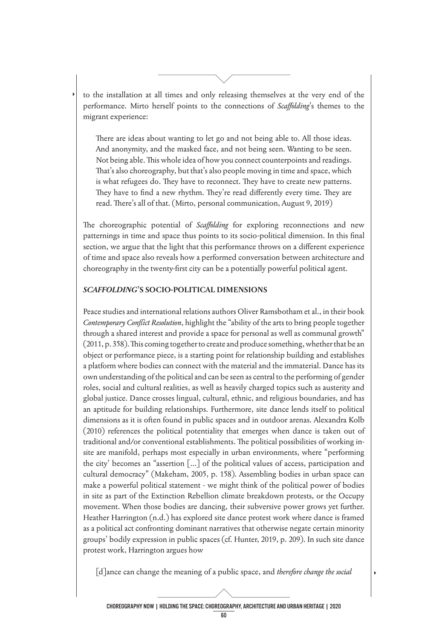to the installation at all times and only releasing themselves at the very end of the performance. Mirto herself points to the connections of *Scafolding*'s themes to the migrant experience:

There are ideas about wanting to let go and not being able to. All those ideas. And anonymity, and the masked face, and not being seen. Wanting to be seen. Not being able. This whole idea of how you connect counterpoints and readings. Tat's also choreography, but that's also people moving in time and space, which is what refugees do. They have to reconnect. They have to create new patterns. They have to find a new rhythm. They're read differently every time. They are read. There's all of that. (Mirto, personal communication, August 9, 2019)

The choreographic potential of *Scaffolding* for exploring reconnections and new patternings in time and space thus points to its socio-political dimension. In this fnal section, we argue that the light that this performance throws on a diferent experience of time and space also reveals how a performed conversation between architecture and choreography in the twenty-frst city can be a potentially powerful political agent.

#### *SCAFFOLDING***'S SOCIO-POLITICAL DIMENSIONS**

Peace studies and international relations authors Oliver Ramsbotham et al., in their book *Contemporary Confict Resolution*, highlight the "ability of the arts to bring people together through a shared interest and provide a space for personal as well as communal growth" (2011, p. 358). This coming together to create and produce something, whether that be an object or performance piece, is a starting point for relationship building and establishes a platform where bodies can connect with the material and the immaterial. Dance has its own understanding of the political and can be seen as central to the performing of gender roles, social and cultural realities, as well as heavily charged topics such as austerity and global justice. Dance crosses lingual, cultural, ethnic, and religious boundaries, and has an aptitude for building relationships. Furthermore, site dance lends itself to political dimensions as it is often found in public spaces and in outdoor arenas. Alexandra Kolb (2010) references the political potentiality that emerges when dance is taken out of traditional and/or conventional establishments. The political possibilities of working insite are manifold, perhaps most especially in urban environments, where "performing the city' becomes an "assertion [...] of the political values of access, participation and cultural democracy" (Makeham, 2005, p. 158). Assembling bodies in urban space can make a powerful political statement - we might think of the political power of bodies in site as part of the Extinction Rebellion climate breakdown protests, or the Occupy movement. When those bodies are dancing, their subversive power grows yet further. Heather Harrington (n.d.) has explored site dance protest work where dance is framed as a political act confronting dominant narratives that otherwise negate certain minority groups' bodily expression in public spaces (cf. Hunter, 2019, p. 209). In such site dance protest work, Harrington argues how

[d]ance can change the meaning of a public space, and *therefore change the social* 

CHOREOGRAPHY NOW | HOLDING THE SPACE: CHOREOGRAPHY, ARCHITECTURE AND URBAN HERITAGE | 2020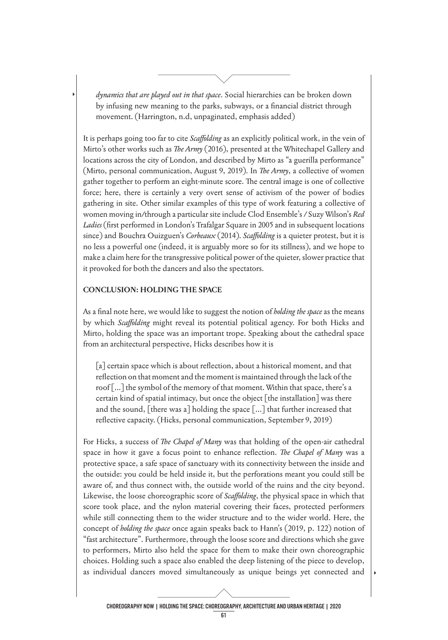*dynamics that are played out in that space*. Social hierarchies can be broken down by infusing new meaning to the parks, subways, or a fnancial district through movement. (Harrington, n.d, unpaginated, emphasis added)

It is perhaps going too far to cite *Scafolding* as an explicitly political work, in the vein of Mirto's other works such as *The Army* (2016), presented at the Whitechapel Gallery and locations across the city of London, and described by Mirto as "a guerilla performance" (Mirto, personal communication, August 9, 2019). In *The Army*, a collective of women gather together to perform an eight-minute score. The central image is one of collective force; here, there is certainly a very overt sense of activism of the power of bodies gathering in site. Other similar examples of this type of work featuring a collective of women moving in/through a particular site include Clod Ensemble's / Suzy Wilson's *Red Ladies* (frst performed in London's Trafalgar Square in 2005 and in subsequent locations since) and Bouchra Ouizguen's *Corbeaux* (2014). *Scafolding* is a quieter protest, but it is no less a powerful one (indeed, it is arguably more so for its stillness), and we hope to make a claim here for the transgressive political power of the quieter, slower practice that it provoked for both the dancers and also the spectators.

#### **CONCLUSION: HOLDING THE SPACE**

As a fnal note here, we would like to suggest the notion of *holding the space* as the means by which *Scafolding* might reveal its potential political agency. For both Hicks and Mirto, holding the space was an important trope. Speaking about the cathedral space from an architectural perspective, Hicks describes how it is

[a] certain space which is about reflection, about a historical moment, and that refection on that moment and the moment is maintained through the lack of the roof [...] the symbol of the memory of that moment. Within that space, there's a certain kind of spatial intimacy, but once the object [the installation] was there and the sound, [there was a] holding the space [...] that further increased that reflective capacity. (Hicks, personal communication, September 9, 2019)

For Hicks, a success of *The Chapel of Many* was that holding of the open-air cathedral space in how it gave a focus point to enhance reflection. *The Chapel of Many* was a protective space, a safe space of sanctuary with its connectivity between the inside and the outside: you could be held inside it, but the perforations meant you could still be aware of, and thus connect with, the outside world of the ruins and the city beyond. Likewise, the loose choreographic score of *Scafolding*, the physical space in which that score took place, and the nylon material covering their faces, protected performers while still connecting them to the wider structure and to the wider world. Here, the concept of *holding the space* once again speaks back to Hann's (2019, p. 122) notion of "fast architecture". Furthermore, through the loose score and directions which she gave to performers, Mirto also held the space for them to make their own choreographic choices. Holding such a space also enabled the deep listening of the piece to develop, as individual dancers moved simultaneously as unique beings yet connected and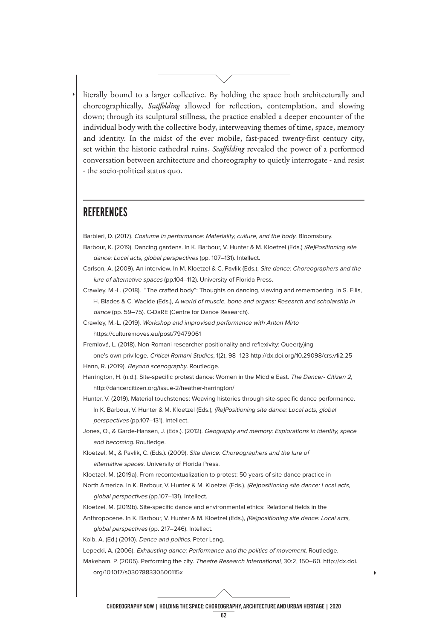literally bound to a larger collective. By holding the space both architecturally and choreographically, *Scafolding* allowed for refection, contemplation, and slowing down; through its sculptural stillness, the practice enabled a deeper encounter of the individual body with the collective body, interweaving themes of time, space, memory and identity. In the midst of the ever mobile, fast-paced twenty-frst century city, set within the historic cathedral ruins, *Scafolding* revealed the power of a performed conversation between architecture and choreography to quietly interrogate - and resist - the socio-political status quo.

### **REFERENCES**

Barbieri, D. (2017). Costume in performance: Materiality, culture, and the body. Bloomsbury.

- Barbour, K. (2019). Dancing gardens. In K. Barbour, V. Hunter & M. Kloetzel (Eds.) (Re)Positioning site dance: Local acts, global perspectives (pp. 107–131). Intellect.
- Carlson, A. (2009). An interview. In M. Kloetzel & C. Pavlik (Eds.), Site dance: Choreographers and the lure of alternative spaces (pp.104–112). University of Florida Press.

Crawley, M.-L. (2018). "The crafted body": Thoughts on dancing, viewing and remembering. In S. Ellis, H. Blades & C. Waelde (Eds.), A world of muscle, bone and organs: Research and scholarship in dance (pp. 59–75). C-DaRE (Centre for Dance Research).

Crawley, M.-L. (2019). Workshop and improvised performance with Anton Mirto <https://culturemoves.eu/post/79479061>

Fremlová, L. (2018). Non-Romani researcher positionality and refexivity: Queer(y)ing one's own privilege. Critical Romani Studies, 1(2), 98–123 <http://dx.doi.org/10.29098/crs.v1i2.25>

- Hann, R. (2019). Beyond scenography. Routledge.
- Harrington, H. (n.d.). Site-specific protest dance: Women in the Middle East. The Dancer- Citizen 2, [http://dancercitizen.org/issue-2/heather-harrington/](http://dancercitizen.org/issue-2/heather-harrington)

Hunter, V. (2019). Material touchstones: Weaving histories through site-specifc dance performance. In K. Barbour, V. Hunter & M. Kloetzel (Eds.), (Re)Positioning site dance: Local acts, global perspectives (pp.107–131). Intellect.

Jones, O., & Garde-Hansen, J. (Eds.). (2012). Geography and memory: Explorations in identity, space and becoming. Routledge.

Kloetzel, M., & Pavlik, C. (Eds.). (2009). Site dance: Choreographers and the lure of alternative spaces. University of Florida Press.

Kloetzel, M. (2019a). From recontextualization to protest: 50 years of site dance practice in

North America. In K. Barbour, V. Hunter & M. Kloetzel (Eds.), (Re)positioning site dance: Local acts, global perspectives (pp.107–131). Intellect.

Kloetzel, M. (2019b). Site-specific dance and environmental ethics: Relational fields in the

Anthropocene. In K. Barbour, V. Hunter & M. Kloetzel (Eds.), (Re)positioning site dance: Local acts, global perspectives (pp. 217–246). Intellect.

Kolb, A. (Ed.) (2010). Dance and politics. Peter Lang.

Lepecki, A. (2006). Exhausting dance: Performance and the politics of movement. Routledge.

Makeham, P. (2005). Performing the city. Theatre Research International, 30:2, 150–60. [http://dx.doi.](http://dx.doi) org/10.1017/s030788330500115x